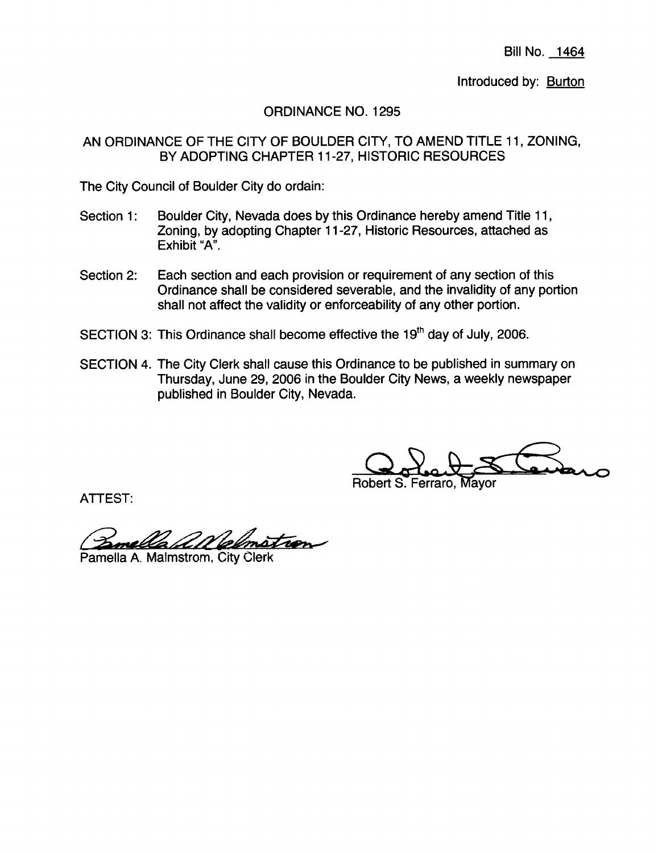Bill No. 1464

Introduced by: **Burton** 

ORDINANCE NO. 1295

AN ORDINANCE OF THE CITY OF BOULDER CITY, TO AMEND TITLE 11, ZONING, BY ADOPTING CHAPTER 11-27, HISTORIC RESOURCES

The City Council of Boulder City do ordain:

- Section 1: Boulder City, Nevada does by this Ordinance hereby amend Title 11, Zoning, by adopting Chapter 11-27, Historic Resources, attached as Exhibit "A",
- Section 2: Each section and each provision or requirement of any section of this Ordinance shall be considered severable, and the invalidity of any portion shall not affect the validity or enforceability of any other portion.
- SECTION 3: This Ordinance shall become effective the 19<sup>th</sup> day of July, 2006.
- SECTION 4. The City Clerk shall cause this Ordinance to be published in summary on Thursday, June 29, 2006 in the Boulder City News, a weekly newspaper published in Boulder City, Nevada.

Oolet

Robert S. Ferraro, Mayor

ATTEST:

ATTEST.<br>Pame*lla A. M*almstrom, City Clerk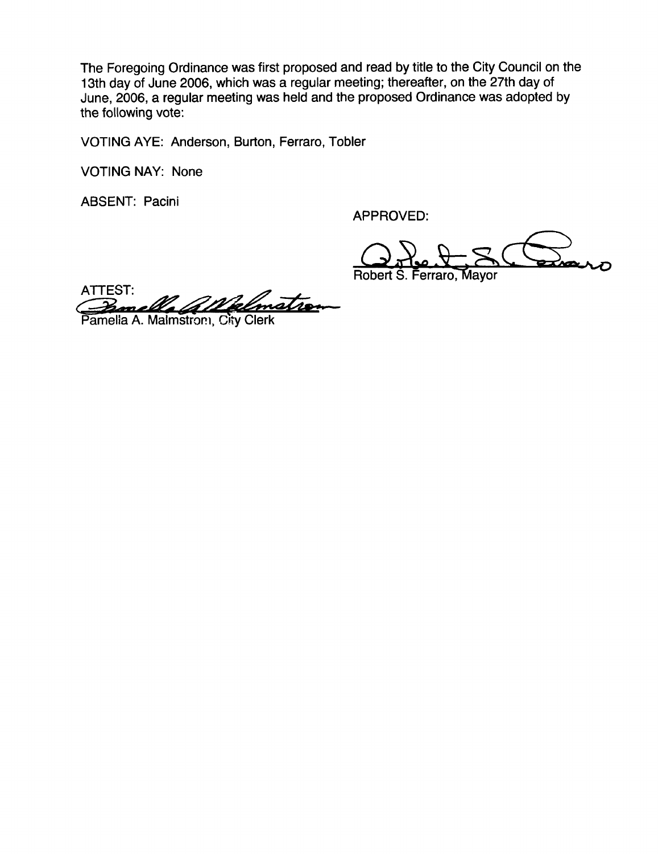The Foregoing Ordinance was first proposed and read by title to the City Council on the 13th day of June 2006, which was a regular meeting; thereafter, on the 27th day of June, 2006, a regular meeting was held and the proposed Ordinance was adopted by the following vote:

VOTING AYE: Anderson, Burton, Ferraro, Tobler

VOTING NAY: None

ABSENT: Pacini

APPROVED:

O. Red & S. Com Robert S. Ferraro, Mayor

ATTEST: r **Pamella** *All Pelony*<br>Pamella A. Malmstron, City Clerk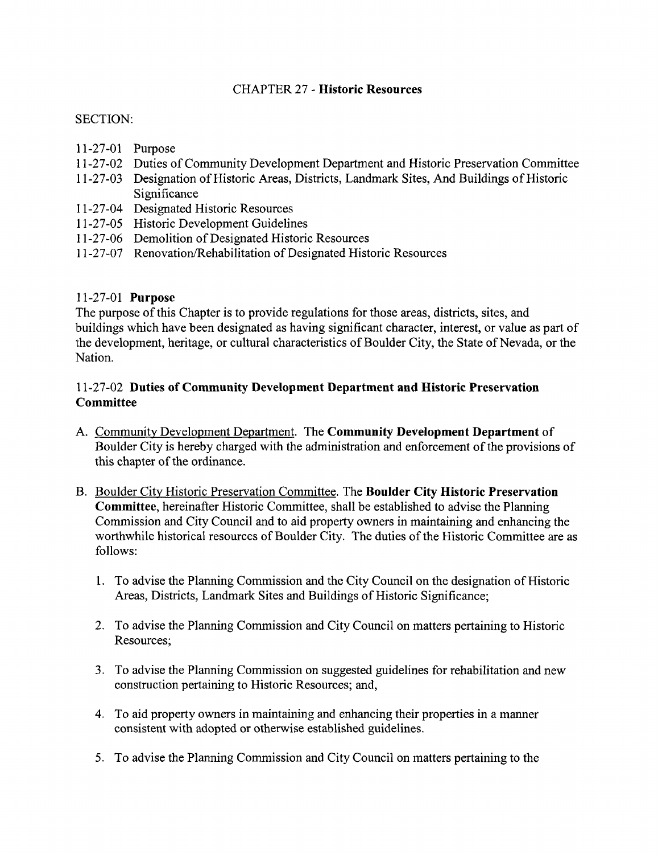# CHAPTER 27 - Historic Resources

# SECTION:

- 11-27-01 Purpose
- 11- 27 -02 Duties of Community Development Department and Historic Preservation Committee
- 11-27-03 Designation of Historic Areas, Districts, Landmark Sites, And Buildings of Historic Significance
- 11-27-04 Designated Historic Resources
- 11-27-05 Historic Development Guidelines
- 11-27-06 Demolition of Designated Historic Resources
- 11-27-07 Renovation/Rehabilitation of Designated Historic Resources

# 11-27-01 **Purpose**

The purpose of this Chapter is to provide regulations for those areas, districts, sites, and buildings which have been designated as having significant character, interest, or value as part of the development, heritage, or cultural characteristics of Boulder City, the State of Nevada, or the Nation.

# 11- 27- <sup>02</sup> Duties of Community Development Department and Historic Preservation **Committee**

- A. Community Development Department. The Community Development Department of Boulder City is hereby charged with the administration and enforcement of the provisions of this chapter of the ordinance.
- B. Boulder City Historic Preservation Committee, The Boulder City Historic Preservation Committee, hereinafter Historic Committee, shall be established to advise the Planning Commission and City Council and to aid property owners in maintaining and enhancing the worthwhile historical resources of Boulder City. The duties of the Historic Committee are as follows:
	- 1. To advise the Planning Commission and the City Council on the designation of Historic Areas, Districts, Landmark Sites and Buildings of Historic Significance;
	- 2. To advise the Planning Commission and City Council on matters pertaining to Historic Resources;
	- 3, To advise the Planning Commission on suggested guidelines for rehabilitation and new construction pertaining to Historic Resources; and,
	- 4. To aid property owners in maintaining and enhancing their properties in <sup>a</sup> manner consistent with adopted or otherwise established guidelines.
	- 5. To advise the Planning Commission and City Council on matters pertaining to the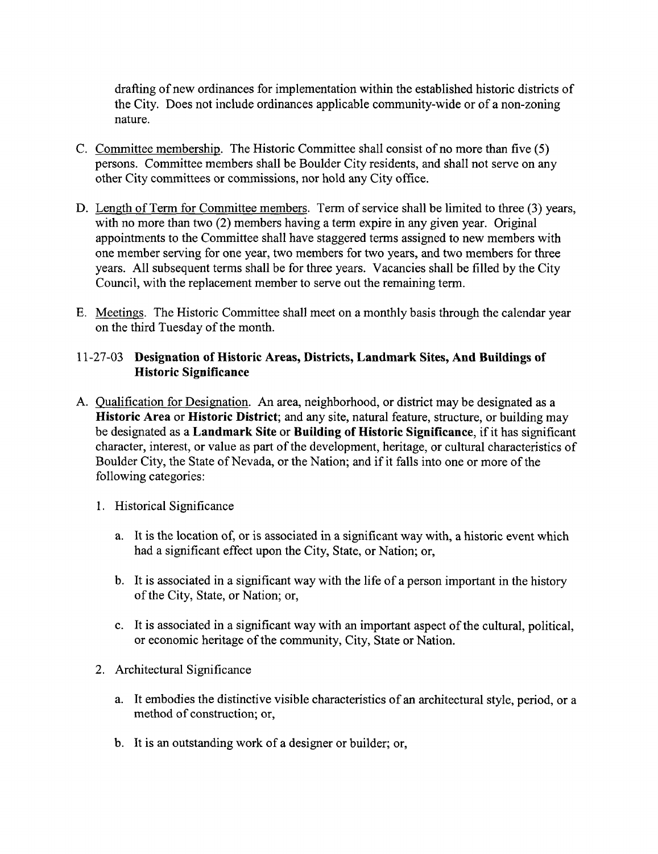drafting of new ordinances for implementation within the established historic districts of the City. Does not include ordinances applicable community-wide or of <sup>a</sup> non-zoning nature.

- C, Committee membership, The Historic Committee shall consist of no more than five (5) persons. Committee members shall be Boulder City residents, and shall not serve on any other City committees or commissions, nor hold any City office.
- D. Length of Term for Committee members. Term of service shall be limited to three (3) years, with no more than two (2) members having <sup>a</sup> term expire in any given year. Original appointments to the Committee shall have staggered terms assigned to new members with one member serving for one year, two members for two years, and two members for three years. All subsequent terms shall be for three years. Vacancies shall be filled by the City Council, with the replacement member to serve out the remaining term.
- E, Meetings. The Historic Committee shall meet on <sup>a</sup> monthly basis through the calendar year on the third Tuesday of the month.

# 11-27-03 Designation of Historic Areas, Districts, Landmark Sites, And Buildings of Historic Significance

- A. Oualification for Designation. An area, neighborhood, or district may be designated as <sup>a</sup> Historic Area or Historic District; and any site, natural feature, structure, or building may be designated as a Landmark Site or Building of Historic Significance, if it has significant character, interest, or value as part of the development, heritage, or cultural characteristics of Boulder City, the State of Nevada, or the Nation; and if it falls into one or more of the following categories:
	- 1. Historical Significance
		- a, It is the location of, or is associated in <sup>a</sup> significant way with, <sup>a</sup> historic event which had <sup>a</sup> significant effect upon the City, State, or Nation; or,
		- b. It is associated in <sup>a</sup> significant way with the life of <sup>a</sup> person important in the history of the City, State, or Nation; or,
		- c. It is associated in a significant way with an important aspect of the cultural, political, or economic heritage of the community, City, State or Nation.
	- 2, Architectural Significance
		- a, It embodies the distinctive visible characteristics of an architectural style, period, or <sup>a</sup> method of construction; or,
		- b. It is an outstanding work of <sup>a</sup> designer or builder; or,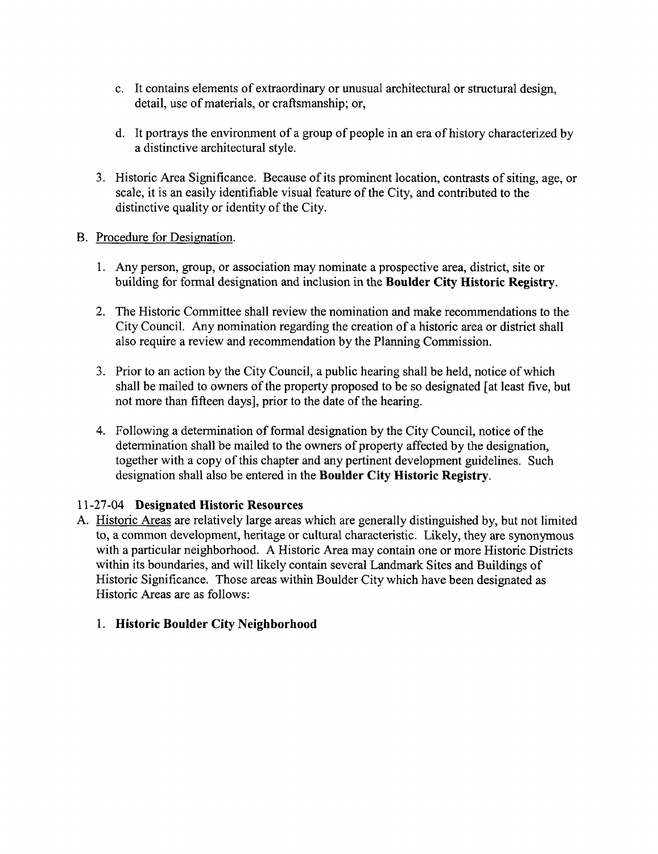- c, It contains elements of extraordinary or unusual architectural or structural design, detail, use of materials, or craftsmanship; or,
- d. It portrays the environment of a group of people in an era of history characterized by <sup>a</sup> distinctive architectural style.
- 3, Historic Area Significance, Because of its prominent location, contrasts of siting, age, or scale, it is an easily identifiable visual feature of the City, and contributed to the distinctive quality or identity of the City.

#### B. Procedure for Designation.

- 1. Any person, group, or association may nominate <sup>a</sup> prospective area, district, site or building for formal designation and inclusion in the Boulder City Historic Registry.
- 2. The Historic Committee shall review the nomination and make recommendations to the City Council. Any nomination regarding the creation of <sup>a</sup> historic area or district shall also require <sup>a</sup> review and recommendation by the Planning Commission,
- 3. Prior to an action by the City Council, <sup>a</sup> public hearing shall be held, notice ofwhich shall be mailed to owners of the property proposed to be so designated [at least five, but not more than fifteen days], prior to the date of the hearing.
- 4. Following a determination of formal designation by the City Council, notice of the determination shall be mailed to the owners of property affected by the designation, together with <sup>a</sup> copy of this chapter and any pertinent development guidelines. Such designation shall also be entered in the Boulder City Historic Registry.

#### 11-27-04 Designated Historic Resources

A. Historic Areas are relatively large areas which are generally distinguished by, but not limited to, <sup>a</sup> common development, heritage or cultural characteristic. Likely, they are synonymous with <sup>a</sup> particular neighborhood. A Historic Area may contain one or more Historic Districts within its boundaries, and will likely contain several Landmark Sites and Buildings of Historic Significance, Those areas within Boulder City which have been designated as Historic Areas are as follows:

#### 1, Historic Boulder City Neighborhood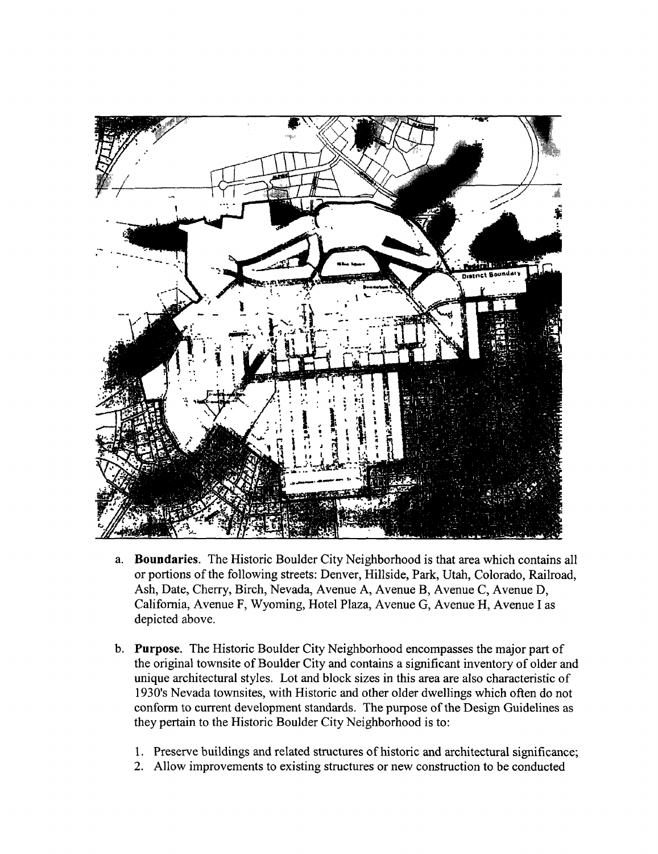

- a, Boundaries. The Historic Boulder City Neighborhood is that area which contains all or portions of the following streets: Denver, Hillside, Park, Utah, Colorado, Railroad, Ash, Date, Cherry, Birch, Nevada, Avenue A, Avenue B, Avenue C, Avenue D, California, Avenue F, Wyoming, Hotel Plaza, Avenue G, Avenue H, Avenue I as depicted above.
- b. Purpose. The Historic Boulder City Neighborhood encompasses the major part of the original townsite of Boulder City and contains a significant inventory of older and unique architectural styles. Lot and block sizes in this area are also characteristic of 1930'<sup>s</sup> Nevada townsites, with Historic and other older dwellings which often do not conform to current development standards. The purpose of the Design Guidelines as they pertain to the Historic Boulder City Neighborhood is to:
	- 1. Preserve buildings and related structures of historic and architectural significance;
	- 2. Allow improvements to existing structures or new construction to be conducted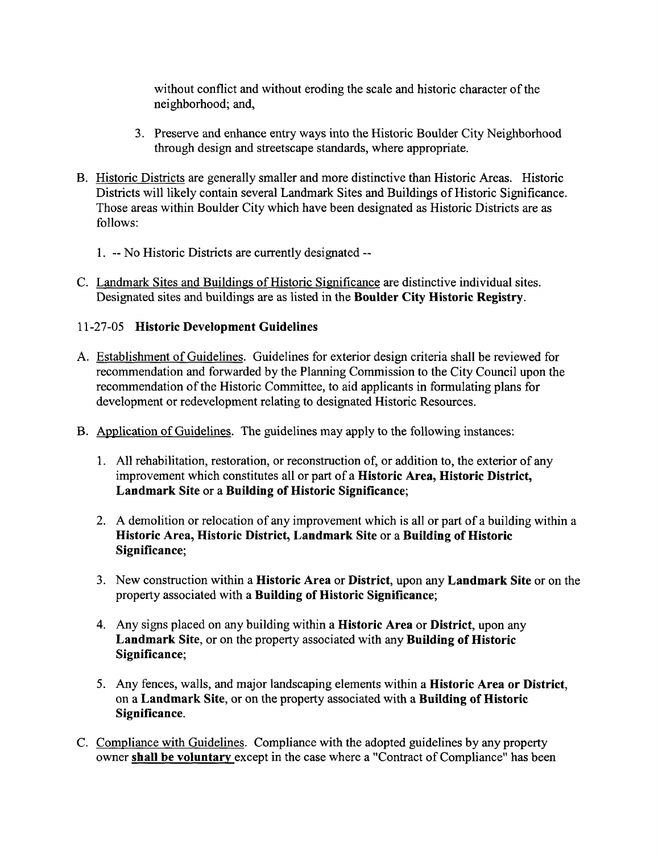without conflict and without eroding the scale and historic character of the neighborhood; and,

- 3. Preserve and enhance entry ways into the Historic Boulder City Neighborhood through design and streetscape standards, where appropriate.
- B. Historic Districts are generally smaller and more distinctive than Historic Areas. Historic Districts will likely contain several Landmark Sites and Buildings of Historic Significance. Those areas within Boulder City which have been designated as Historic Districts are as follows:
	- 1. -- No Historic Districts are currently designated --
- C. Landmark Sites and Buildings of Historic Significance are distinctive individual sites. Designated sites and buildings are as listed in the Boulder City Historic Registry.

# 11-27-05 Historic Development Guidelines

- A. Establishment of Guidelines, Guidelines for exterior design criteria shall be reviewed for recommendation and forwarded by the Planning Commission to the City Council upon the recommendation of the Historic Committee, to aid applicants in formulating plans for development or redevelopment relating to designated Historic Resources.
- B. Application of Guidelines. The guidelines may apply to the following instances:
	- 1, All rehabilitation, restoration, or reconstruction of, or addition to, the exterior of any improvement which constitutes all or part of <sup>a</sup> Historic Area, Historic District, Landmark Site or <sup>a</sup> Building of Historic Significance;
	- 2. A demolition or relocation of any improvement which is all or part of <sup>a</sup> building within <sup>a</sup> Historic Area, Historic District, Landmark Site or <sup>a</sup> Building of Historic Significance;
	- 3. New construction within <sup>a</sup> Historic Area or District, upon any Landmark Site or on the property associated with <sup>a</sup> Building of Historic Significance;
	- 4. Any signs placed on any building within <sup>a</sup> Historic Area or District, upon any Landmark Site, or on the property associated with any Building of Historic Significance;
	- 5. Any fences, walls, and major landscaping elements within <sup>a</sup> Historic Area or District, on <sup>a</sup> Landmark Site, or on the property associated with <sup>a</sup> Building of Historic Significance,
- C. Compliance with Guidelines. Compliance with the adopted guidelines by any property owner shall be voluntary except in the case where a "Contract of Compliance" has been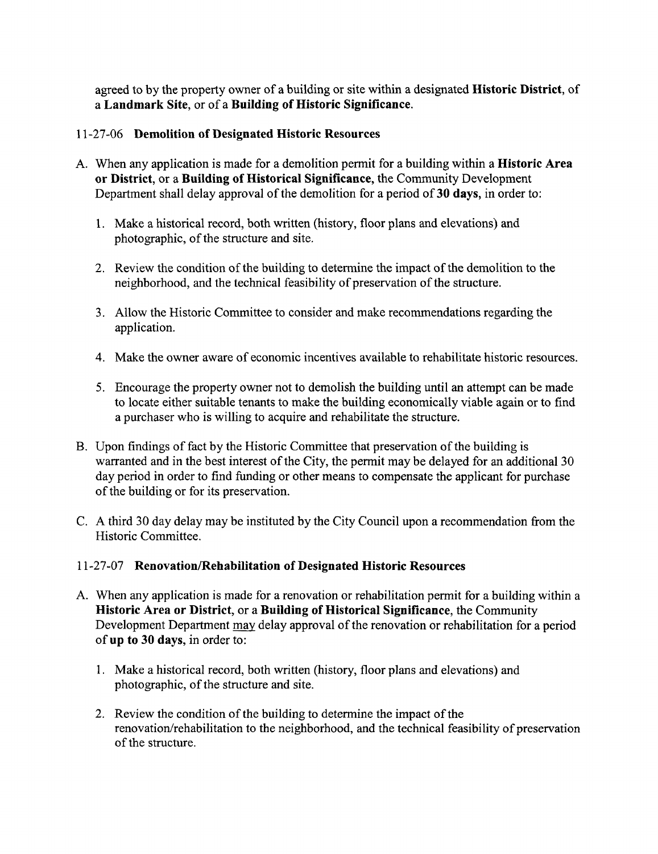agreed to by the property owner of <sup>a</sup> building or site within <sup>a</sup> designated Historic District, of <sup>a</sup> Landmark Site, or of <sup>a</sup> Building of Historic Significance.

# 11-27-06 Demolition of Designated Historic Resources

- A. When any application is made for <sup>a</sup> demolition permit for <sup>a</sup> building within <sup>a</sup> Historic Area or District, or <sup>a</sup> Building of Historical Significance, the Community Development Department shall delay approval of the demolition for a period of 30 days, in order to:
	- 1. Make <sup>a</sup> historical record, both written (history, floor plans and elevations) and photographic, of the structure and site.
	- 2. Review the condition of the building to determine the impact of the demolition to the neighborhood, and the technical feasibility of preservation of the structure.
	- 3. Allow the Historic Committee to consider and make recommendations regarding the application.
	- 4, Make the owner aware of economic incentives available to rehabilitate historic resources.
	- 5. Encourage the property owner not to demolish the building until an attempt can be made to locate either suitable tenants to make the building economically viable again or to find <sup>a</sup> purchaser who is willing to acquire and rehabilitate the structure.
- B. Upon findings of fact by the Historic Committee that preservation of the building is warranted and in the best interest of the City, the permit may be delayed for an additional 30 day period in order to find funding or other means to compensate the applicant for purchase of the building or for its preservation.
- C, A third <sup>30</sup> day delay may be instituted by the City Council upon <sup>a</sup> recommendation from the Historic Committee.

#### 11-27-07 Renovation/Rehabilitation of Designated Historic Resources

- A. When any application is made for <sup>a</sup> renovation or rehabilitation permit for <sup>a</sup> building within <sup>a</sup> Historic Area or District, or <sup>a</sup> Building of Historical Significance, the Community Development Department may delay approval of the renovation or rehabilitation for a period of up to <sup>30</sup> days, in order to:
	- 1, Make <sup>a</sup> historical record, both written (history, floor plans and elevations) and photographic, of the structure and site.
	- 2. Review the condition of the building to determine the impact of the renovation/rehabilitation to the neighborhood, and the technical feasibility of preservation of the structure.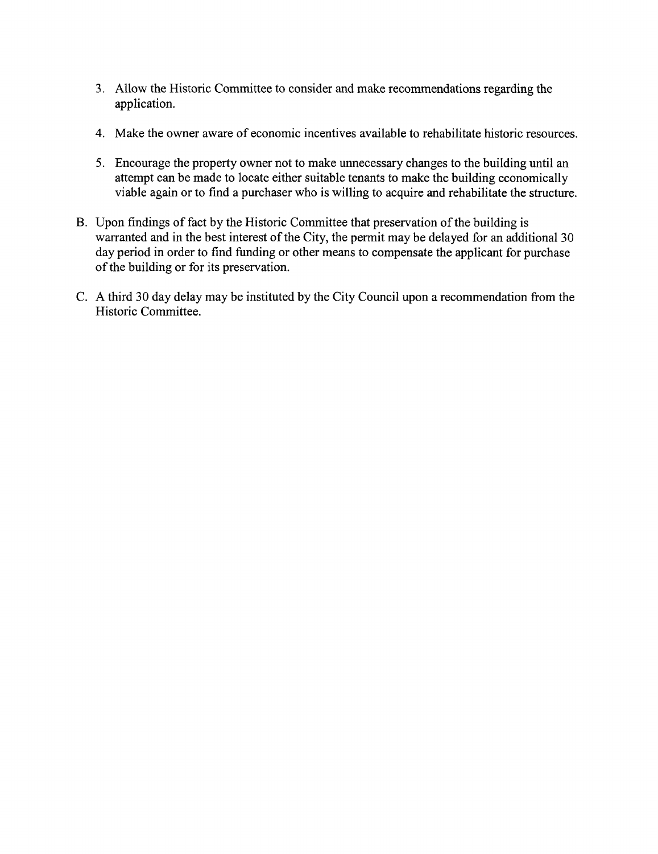- 3. Allow the Historic Committee to consider and make recommendations regarding the application.
- 4. Make the owner aware of economic incentives available to rehabilitate historic resources.
- 5. Encourage the property owner not to make unnecessary changes to the building until an attempt can be made to locate either suitable tenants to make the building economically viable again or to find <sup>a</sup> purchaser who is willing to acquire and rehabilitate the structure.
- B. Upon findings of fact by the Historic Committee that preservation of the building is warranted and in the best interest of the City, the permit may be delayed for an additional <sup>30</sup> day period in order to find funding or other means to compensate the applicant for purchase of the building or for its preservation.
- C. A third <sup>30</sup> day delay may be instituted by the City Council upon <sup>a</sup> recommendation from the Historic Committee.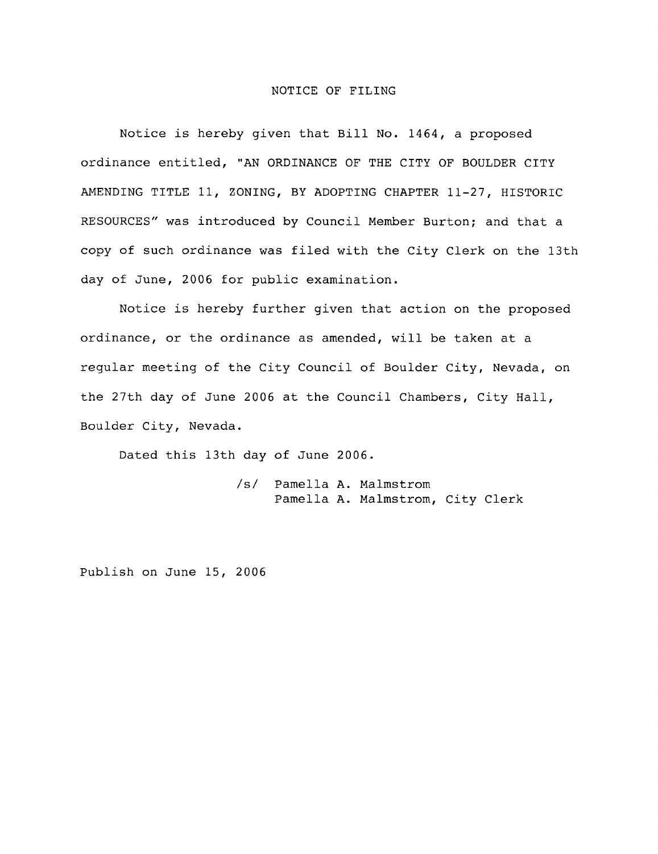#### NOTICE OF FILING

Notice is hereby given that Bill No. 1464, <sup>a</sup> proposed ordinance entitled, " AN ORDINANCE OF THE CITY OF BOULDER CITY AMENDING TITLE 11, ZONING, BY ADOPTING CHAPTER 11-27, HISTORIC RESOURCES" was introduced by Council Member Burton; and that <sup>a</sup> copy of such ordinance was filed with the City Clerk on the 13th day of June, <sup>2006</sup> for public examination.

Notice is hereby further given that action on the proposed ordinance, or the ordinance as amended, will be taken at <sup>a</sup> regular meeting of the City Council of Boulder City, Nevada, on the 27th day of June <sup>2006</sup> at the Council Chambers, City Hall, Boulder City, Nevada.

Dated this 13th day of June 2006.

sl Pamella A. Malmstrom Pamella A. Malmstrom, City Clerk

Publish on June 15, 2006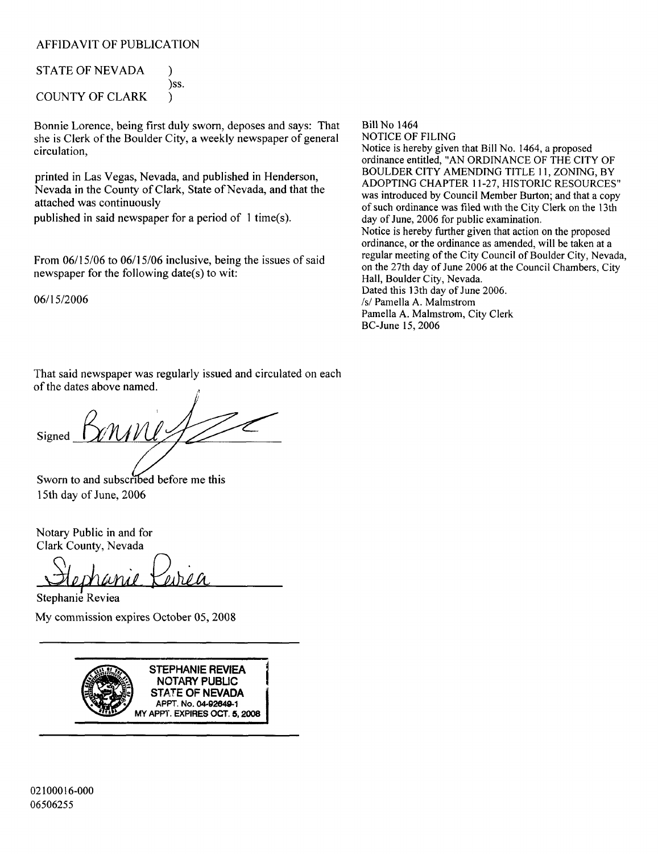#### AFFIDAVIT OF PUBLICATION

| <b>STATE OF NEVADA</b> |      |
|------------------------|------|
|                        | )SS. |
| COUNTY OF CLARK        |      |

Bonnie Lorence, being first duly sworn, deposes and says: That she is Clerk of the Boulder City, a weekly newspaper of general circulation,

printed in Las Vegas, Nevada, and published in Henderson, Nevada in the County of Clark, State of Nevada, and that the attached was continuously

published in said newspaper for a period of  $1$  time(s).

From 06/15/06 to 06/15/06 inclusive, being the issues of said newspaper for the following date(s) to wit:

06/15/2006

Bill No 1464

NOTICE OF FILING Notice is hereby given that Bill No. 1464, <sup>a</sup> proposed ordinance entitled, "AN ORDINANCE OF THE CITY OF BOULDER CITY AMENDING TITLE 11, ZONING, BY ADOPTING CHAPTER 11-27, HISTORIC RESOURCES" was introduced by Council Member Burton; and that a copy of such ordmance was filed with the City Clerk on the 13th day of June, <sup>2006</sup> for public examination. Notice is hereby further given that action on the proposed ordinance, or the ordinance as amended, will be taken at <sup>a</sup> regular meeting of the City Council of Boulder City, Nevada, on the 27th day of June 2006 at the Council Chambers, City Hall, Boulder City, Nevada. Dated this 13th day of June 2006. s/ Pamella A. Malmstrom Pamella A. Malmstrom, City Clerk BC-June 15, 2006

That said newspaper was regularly issued and circulated on each of the dates above named.

Signed

Sworn to and subscribed before me this 15th day of June, 2006

Notary Public in and for Clark County, Nevada

ephanie Keirea Stephanie Reviea

My commission expires October 05, 2008

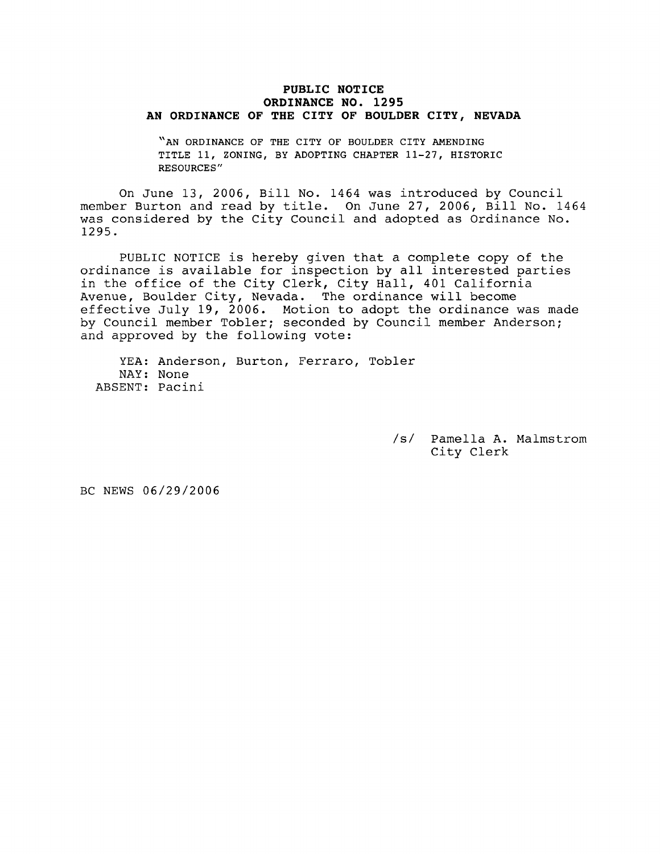#### PUBLIC NOTICE ORDINANCE NO. 1295 AN ORDINANCE OF THE CITY OF BOULDER CITY, NEVADA

"AN ORDINANCE OF THE CITY OF BOULDER CITY AMENDING TITLE 11, ZONING, BY ADOPTING CHAPTER 11-27, HISTORIC RESOURCES"

On June 13, 2006, Bill No. <sup>1464</sup> was introduced by Council member Burton and read by title. On June 27, 2006, Bill No. <sup>1464</sup> was considered by the City Council and adopted as Ordinance No. 1295.

PUBLIC NOTICE is hereby given that <sup>a</sup> complete copy of the ordinance is available for inspection by all interested parties in the office of the City Clerk, City Hall, <sup>401</sup> California Avenue, Boulder City, Nevada. The ordinance will become effective July 19, 2006. Motion to adopt the ordinance was made by Council member Tobler; seconded by Council member Anderson; and approved by the following vote:

YEA: Anderson, Burton, Ferraro, Tobler NAY: None ABSENT: Pacini

> /s/ Pamella A. Malmstrom City Clerk

BC NEWS 06/29/2006